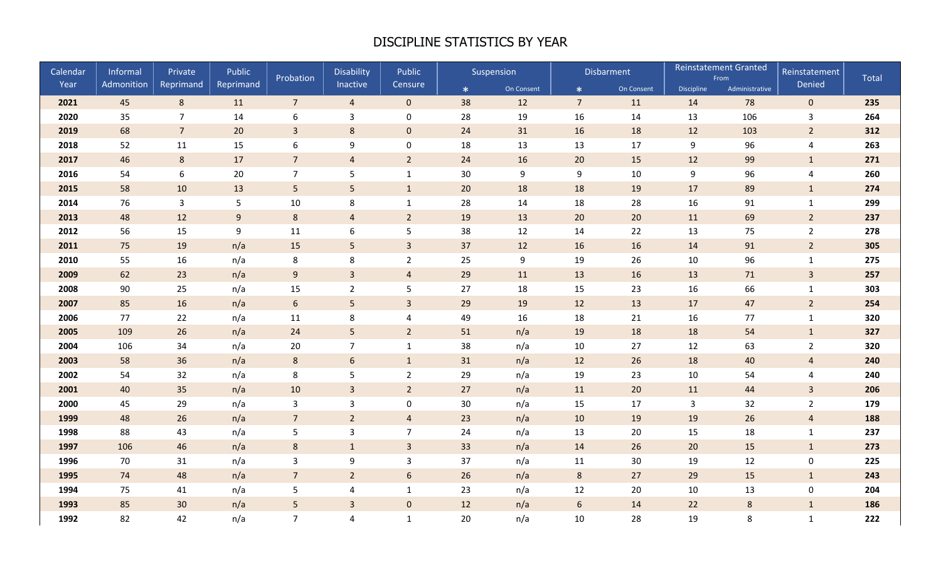## DISCIPLINE STATISTICS BY YEAR

| Calendar | Informal   | Private         | Public           | Probation        | Disability       | Public                  |     | Suspension |                 | Disbarment |                   | <b>Reinstatement Granted</b><br>From |                | <b>Total</b> |
|----------|------------|-----------------|------------------|------------------|------------------|-------------------------|-----|------------|-----------------|------------|-------------------|--------------------------------------|----------------|--------------|
| Year     | Admonition | Reprimand       | Reprimand        |                  | Inactive         | Censure                 | $*$ | On Consent | $\ast$          | On Consent | <b>Discipline</b> | Administrative                       | Denied         |              |
| 2021     | 45         | $8\phantom{1}$  | 11               | 7 <sup>7</sup>   | $\overline{4}$   | $\mathbf{0}$            | 38  | 12         | $7\overline{ }$ | 11         | 14                | 78                                   | $\overline{0}$ | 235          |
| 2020     | 35         | $\overline{7}$  | 14               | 6                | $\mathsf{3}$     | $\mathbf 0$             | 28  | 19         | 16              | 14         | 13                | 106                                  | 3              | 264          |
| 2019     | 68         | $7\overline{ }$ | 20               | $\overline{3}$   | 8                | $\mathbf{0}$            | 24  | 31         | 16              | 18         | 12                | 103                                  | $\overline{2}$ | 312          |
| 2018     | 52         | 11              | 15               | $\boldsymbol{6}$ | 9                | $\mathsf{O}\xspace$     | 18  | 13         | 13              | 17         | 9                 | 96                                   | $\overline{4}$ | 263          |
| 2017     | 46         | 8               | 17               | $\overline{7}$   | $\overline{4}$   | $\overline{2}$          | 24  | 16         | 20              | 15         | 12                | 99                                   | $\mathbf{1}$   | 271          |
| 2016     | 54         | 6               | 20               | $\overline{7}$   | 5                | $\mathbf{1}$            | 30  | 9          | 9               | $10\,$     | 9                 | 96                                   | 4              | 260          |
| 2015     | 58         | 10              | 13               | $5\phantom{.0}$  | 5                | $\mathbf{1}$            | 20  | 18         | 18              | 19         | 17                | 89                                   | $\mathbf 1$    | 274          |
| 2014     | 76         | $\mathbf{3}$    | $\mathsf S$      | $10\,$           | $\,8\,$          | $\mathbf{1}$            | 28  | 14         | 18              | 28         | 16                | 91                                   | $\mathbf{1}$   | 299          |
| 2013     | 48         | 12              | $\boldsymbol{9}$ | $\,8\,$          | $\overline{4}$   | $\overline{2}$          | 19  | 13         | 20              | 20         | 11                | 69                                   | $\overline{2}$ | 237          |
| 2012     | 56         | 15              | $\boldsymbol{9}$ | 11               | 6                | 5                       | 38  | 12         | 14              | 22         | 13                | 75                                   | $\overline{2}$ | 278          |
| 2011     | 75         | 19              | n/a              | 15               | $5\phantom{.}$   | $\mathbf{3}$            | 37  | 12         | 16              | 16         | 14                | 91                                   | $\overline{2}$ | 305          |
| 2010     | 55         | 16              | n/a              | 8                | $\,8\,$          | $\overline{2}$          | 25  | 9          | 19              | 26         | 10                | 96                                   | $\mathbf 1$    | 275          |
| 2009     | 62         | 23              | n/a              | $\boldsymbol{9}$ | $\overline{3}$   | $\overline{4}$          | 29  | 11         | 13              | 16         | 13                | 71                                   | $\overline{3}$ | 257          |
| 2008     | 90         | 25              | n/a              | 15               | $\overline{2}$   | 5                       | 27  | 18         | 15              | 23         | 16                | 66                                   | $\mathbf 1$    | 303          |
| 2007     | 85         | 16              | n/a              | $\boldsymbol{6}$ | 5                | $\mathbf{3}$            | 29  | 19         | 12              | 13         | 17                | 47                                   | $\overline{2}$ | 254          |
| 2006     | 77         | 22              | n/a              | 11               | 8                | $\overline{\mathbf{4}}$ | 49  | 16         | 18              | 21         | 16                | 77                                   | $\mathbf{1}$   | 320          |
| 2005     | 109        | 26              | n/a              | 24               | 5                | $\overline{2}$          | 51  | n/a        | 19              | 18         | 18                | 54                                   | $\mathbf{1}$   | 327          |
| 2004     | 106        | 34              | n/a              | 20               | $\overline{7}$   | $\mathbf{1}$            | 38  | n/a        | 10              | 27         | 12                | 63                                   | $\overline{2}$ | 320          |
| 2003     | 58         | 36              | n/a              | $\,$ 8 $\,$      | $6\phantom{.}$   | $\mathbf{1}$            | 31  | n/a        | 12              | 26         | 18                | 40                                   | $\overline{a}$ | 240          |
| 2002     | 54         | 32              | n/a              | $\,8\,$          | 5                | $\overline{2}$          | 29  | n/a        | 19              | 23         | 10                | 54                                   | 4              | 240          |
| 2001     | 40         | 35              | n/a              | 10               | $\overline{3}$   | $\overline{2}$          | 27  | n/a        | 11              | 20         | 11                | $44\,$                               | $\overline{3}$ | 206          |
| 2000     | 45         | 29              | n/a              | 3                | 3                | $\mathbf 0$             | 30  | n/a        | 15              | 17         | $\mathbf{3}$      | 32                                   | $\overline{2}$ | 179          |
| 1999     | 48         | 26              | n/a              | $\overline{7}$   | $\overline{2}$   | $\overline{4}$          | 23  | n/a        | 10              | 19         | 19                | 26                                   | $\overline{a}$ | 188          |
| 1998     | 88         | 43              | n/a              | 5                | $\overline{3}$   | $\overline{7}$          | 24  | n/a        | 13              | 20         | 15                | 18                                   | $\mathbf 1$    | 237          |
| 1997     | 106        | 46              | n/a              | $\,$ 8 $\,$      | $\mathbf{1}$     | $\mathbf{3}$            | 33  | n/a        | 14              | 26         | 20                | 15                                   | $\mathbf{1}$   | 273          |
| 1996     | 70         | 31              | n/a              | $\mathbf{3}$     | $\boldsymbol{9}$ | $\mathbf{3}$            | 37  | n/a        | 11              | $30\,$     | 19                | 12                                   | 0              | 225          |
| 1995     | 74         | 48              | n/a              | $\overline{7}$   | $\overline{2}$   | $6\phantom{1}$          | 26  | n/a        | 8               | 27         | 29                | 15                                   | $\mathbf{1}$   | 243          |
| 1994     | 75         | 41              | n/a              | 5                | 4                | $\mathbf{1}$            | 23  | n/a        | 12              | 20         | 10                | 13                                   | 0              | 204          |
| 1993     | 85         | 30              | n/a              | 5                | $\overline{3}$   | $\mathbf{0}$            | 12  | n/a        | 6               | 14         | 22                | $\boldsymbol{8}$                     | $\mathbf{1}$   | 186          |
| 1992     | 82         | 42              | n/a              | $\overline{7}$   | 4                | $\mathbf 1$             | 20  | n/a        | 10              | 28         | 19                | 8                                    | $\mathbf{1}$   | 222          |